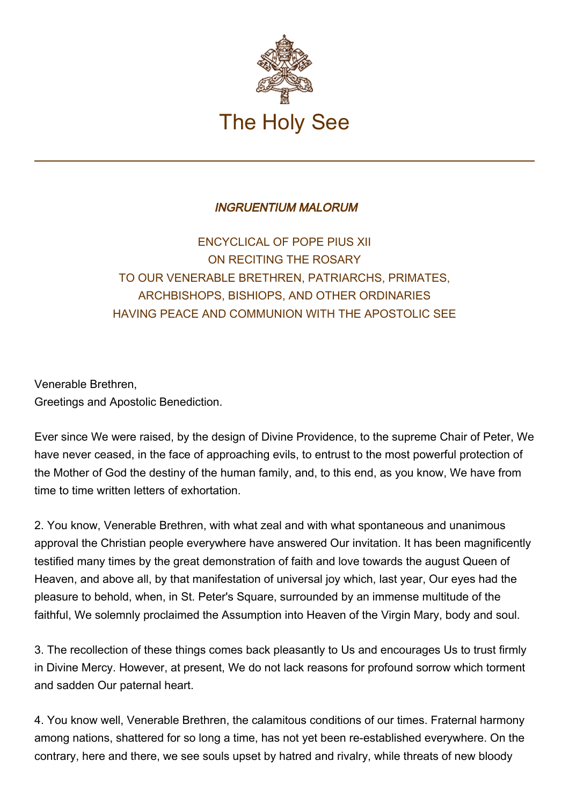

## INGRUENTIUM MALORUM

ENCYCLICAL OF POPE PIUS XII ON RECITING THE ROSARY TO OUR VENERABLE BRETHREN, PATRIARCHS, PRIMATES, ARCHBISHOPS, BISHIOPS, AND OTHER ORDINARIES HAVING PEACE AND COMMUNION WITH THE APOSTOLIC SEE

Venerable Brethren, Greetings and Apostolic Benediction.

Ever since We were raised, by the design of Divine Providence, to the supreme Chair of Peter, We have never ceased, in the face of approaching evils, to entrust to the most powerful protection of the Mother of God the destiny of the human family, and, to this end, as you know, We have from time to time written letters of exhortation.

2. You know, Venerable Brethren, with what zeal and with what spontaneous and unanimous approval the Christian people everywhere have answered Our invitation. It has been magnificently testified many times by the great demonstration of faith and love towards the august Queen of Heaven, and above all, by that manifestation of universal joy which, last year, Our eyes had the pleasure to behold, when, in St. Peter's Square, surrounded by an immense multitude of the faithful, We solemnly proclaimed the Assumption into Heaven of the Virgin Mary, body and soul.

3. The recollection of these things comes back pleasantly to Us and encourages Us to trust firmly in Divine Mercy. However, at present, We do not lack reasons for profound sorrow which torment and sadden Our paternal heart.

4. You know well, Venerable Brethren, the calamitous conditions of our times. Fraternal harmony among nations, shattered for so long a time, has not yet been re-established everywhere. On the contrary, here and there, we see souls upset by hatred and rivalry, while threats of new bloody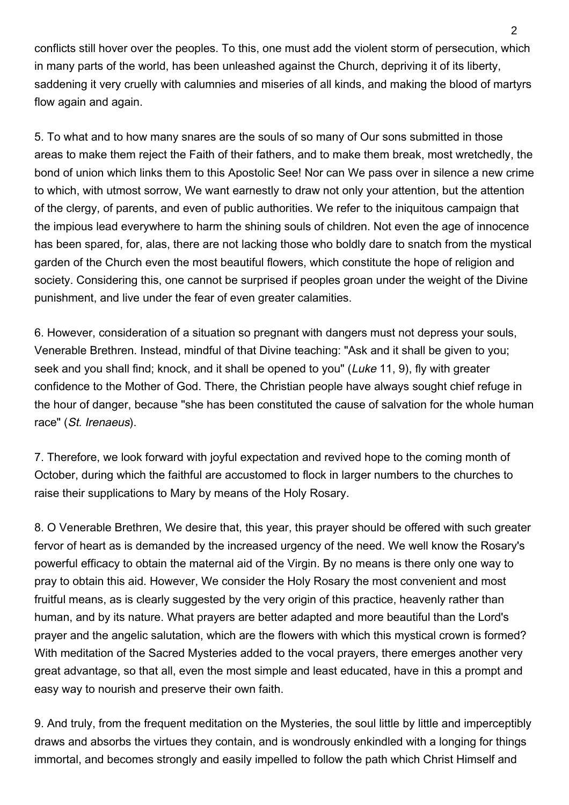conflicts still hover over the peoples. To this, one must add the violent storm of persecution, which in many parts of the world, has been unleashed against the Church, depriving it of its liberty, saddening it very cruelly with calumnies and miseries of all kinds, and making the blood of martyrs flow again and again.

5. To what and to how many snares are the souls of so many of Our sons submitted in those areas to make them reject the Faith of their fathers, and to make them break, most wretchedly, the bond of union which links them to this Apostolic See! Nor can We pass over in silence a new crime to which, with utmost sorrow, We want earnestly to draw not only your attention, but the attention of the clergy, of parents, and even of public authorities. We refer to the iniquitous campaign that the impious lead everywhere to harm the shining souls of children. Not even the age of innocence has been spared, for, alas, there are not lacking those who boldly dare to snatch from the mystical garden of the Church even the most beautiful flowers, which constitute the hope of religion and society. Considering this, one cannot be surprised if peoples groan under the weight of the Divine punishment, and live under the fear of even greater calamities.

6. However, consideration of a situation so pregnant with dangers must not depress your souls, Venerable Brethren. Instead, mindful of that Divine teaching: "Ask and it shall be given to you; seek and you shall find; knock, and it shall be opened to you" (Luke 11, 9), fly with greater confidence to the Mother of God. There, the Christian people have always sought chief refuge in the hour of danger, because "she has been constituted the cause of salvation for the whole human race" (St. Irenaeus).

7. Therefore, we look forward with joyful expectation and revived hope to the coming month of October, during which the faithful are accustomed to flock in larger numbers to the churches to raise their supplications to Mary by means of the Holy Rosary.

8. O Venerable Brethren, We desire that, this year, this prayer should be offered with such greater fervor of heart as is demanded by the increased urgency of the need. We well know the Rosary's powerful efficacy to obtain the maternal aid of the Virgin. By no means is there only one way to pray to obtain this aid. However, We consider the Holy Rosary the most convenient and most fruitful means, as is clearly suggested by the very origin of this practice, heavenly rather than human, and by its nature. What prayers are better adapted and more beautiful than the Lord's prayer and the angelic salutation, which are the flowers with which this mystical crown is formed? With meditation of the Sacred Mysteries added to the vocal prayers, there emerges another very great advantage, so that all, even the most simple and least educated, have in this a prompt and easy way to nourish and preserve their own faith.

9. And truly, from the frequent meditation on the Mysteries, the soul little by little and imperceptibly draws and absorbs the virtues they contain, and is wondrously enkindled with a longing for things immortal, and becomes strongly and easily impelled to follow the path which Christ Himself and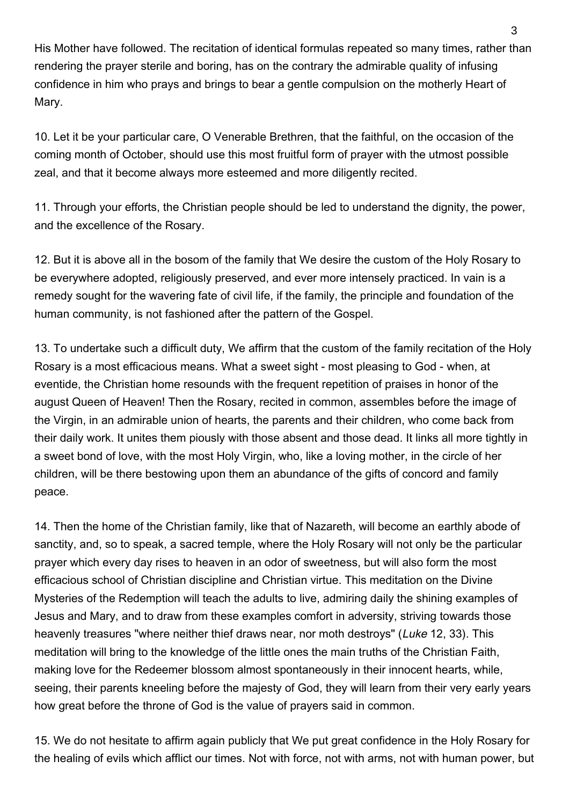His Mother have followed. The recitation of identical formulas repeated so many times, rather than rendering the prayer sterile and boring, has on the contrary the admirable quality of infusing confidence in him who prays and brings to bear a gentle compulsion on the motherly Heart of Mary.

10. Let it be your particular care, O Venerable Brethren, that the faithful, on the occasion of the coming month of October, should use this most fruitful form of prayer with the utmost possible zeal, and that it become always more esteemed and more diligently recited.

11. Through your efforts, the Christian people should be led to understand the dignity, the power, and the excellence of the Rosary.

12. But it is above all in the bosom of the family that We desire the custom of the Holy Rosary to be everywhere adopted, religiously preserved, and ever more intensely practiced. In vain is a remedy sought for the wavering fate of civil life, if the family, the principle and foundation of the human community, is not fashioned after the pattern of the Gospel.

13. To undertake such a difficult duty, We affirm that the custom of the family recitation of the Holy Rosary is a most efficacious means. What a sweet sight - most pleasing to God - when, at eventide, the Christian home resounds with the frequent repetition of praises in honor of the august Queen of Heaven! Then the Rosary, recited in common, assembles before the image of the Virgin, in an admirable union of hearts, the parents and their children, who come back from their daily work. It unites them piously with those absent and those dead. It links all more tightly in a sweet bond of love, with the most Holy Virgin, who, like a loving mother, in the circle of her children, will be there bestowing upon them an abundance of the gifts of concord and family peace.

14. Then the home of the Christian family, like that of Nazareth, will become an earthly abode of sanctity, and, so to speak, a sacred temple, where the Holy Rosary will not only be the particular prayer which every day rises to heaven in an odor of sweetness, but will also form the most efficacious school of Christian discipline and Christian virtue. This meditation on the Divine Mysteries of the Redemption will teach the adults to live, admiring daily the shining examples of Jesus and Mary, and to draw from these examples comfort in adversity, striving towards those heavenly treasures "where neither thief draws near, nor moth destroys" (Luke 12, 33). This meditation will bring to the knowledge of the little ones the main truths of the Christian Faith, making love for the Redeemer blossom almost spontaneously in their innocent hearts, while, seeing, their parents kneeling before the majesty of God, they will learn from their very early years how great before the throne of God is the value of prayers said in common.

15. We do not hesitate to affirm again publicly that We put great confidence in the Holy Rosary for the healing of evils which afflict our times. Not with force, not with arms, not with human power, but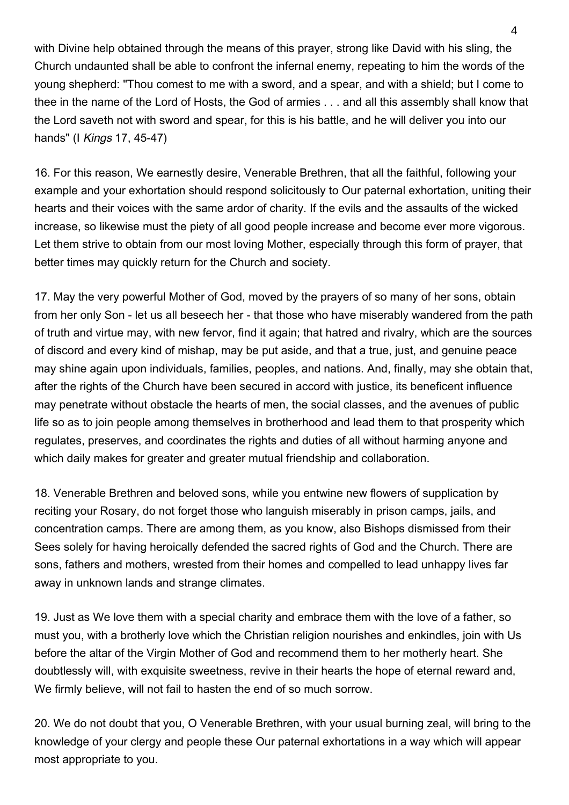with Divine help obtained through the means of this prayer, strong like David with his sling, the Church undaunted shall be able to confront the infernal enemy, repeating to him the words of the young shepherd: "Thou comest to me with a sword, and a spear, and with a shield; but I come to thee in the name of the Lord of Hosts, the God of armies . . . and all this assembly shall know that the Lord saveth not with sword and spear, for this is his battle, and he will deliver you into our hands" (I Kings 17, 45-47)

16. For this reason, We earnestly desire, Venerable Brethren, that all the faithful, following your example and your exhortation should respond solicitously to Our paternal exhortation, uniting their hearts and their voices with the same ardor of charity. If the evils and the assaults of the wicked increase, so likewise must the piety of all good people increase and become ever more vigorous. Let them strive to obtain from our most loving Mother, especially through this form of prayer, that better times may quickly return for the Church and society.

17. May the very powerful Mother of God, moved by the prayers of so many of her sons, obtain from her only Son - let us all beseech her - that those who have miserably wandered from the path of truth and virtue may, with new fervor, find it again; that hatred and rivalry, which are the sources of discord and every kind of mishap, may be put aside, and that a true, just, and genuine peace may shine again upon individuals, families, peoples, and nations. And, finally, may she obtain that, after the rights of the Church have been secured in accord with justice, its beneficent influence may penetrate without obstacle the hearts of men, the social classes, and the avenues of public life so as to join people among themselves in brotherhood and lead them to that prosperity which regulates, preserves, and coordinates the rights and duties of all without harming anyone and which daily makes for greater and greater mutual friendship and collaboration.

18. Venerable Brethren and beloved sons, while you entwine new flowers of supplication by reciting your Rosary, do not forget those who languish miserably in prison camps, jails, and concentration camps. There are among them, as you know, also Bishops dismissed from their Sees solely for having heroically defended the sacred rights of God and the Church. There are sons, fathers and mothers, wrested from their homes and compelled to lead unhappy lives far away in unknown lands and strange climates.

19. Just as We love them with a special charity and embrace them with the love of a father, so must you, with a brotherly love which the Christian religion nourishes and enkindles, join with Us before the altar of the Virgin Mother of God and recommend them to her motherly heart. She doubtlessly will, with exquisite sweetness, revive in their hearts the hope of eternal reward and, We firmly believe, will not fail to hasten the end of so much sorrow.

20. We do not doubt that you, O Venerable Brethren, with your usual burning zeal, will bring to the knowledge of your clergy and people these Our paternal exhortations in a way which will appear most appropriate to you.